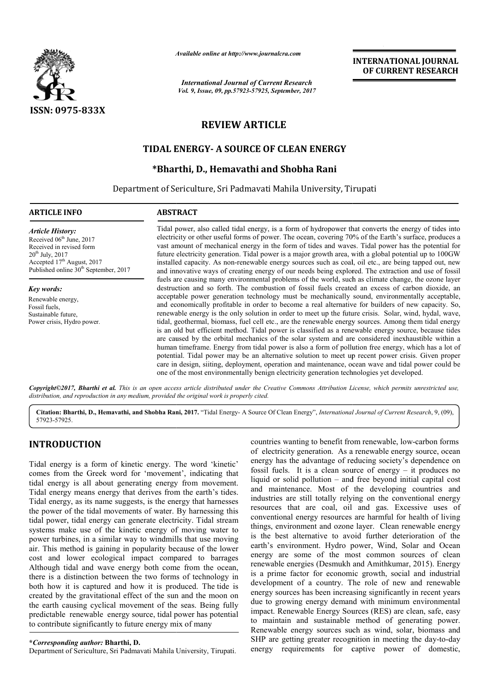

*Available online at http://www.journal http://www.journalcra.com*

*International Journal of Current Research Vol. 9, Issue, 09, pp.57923-57925, September, 2017* **INTERNATIONAL JOURNAL OF CURRENT RESEARCH** 

# **REVIEW ARTICLE**

# **TIDAL ENERGY ENERGY- A SOURCE OF CLEAN ENERGY**

# **\*Bharthi \*Bharthi, D., Hemavathi and Shobha Rani**

Department of Sericulture, Sri Padmavati Mahila University, Tirupati

# **ARTICLE INFO ABSTRACT**

*Article History:* Received 06<sup>th</sup> June, 2017 Received in revised form 20th July, 2017 Accepted 17<sup>th</sup> August, 2017 Published online  $30<sup>th</sup>$  September, 2017

*Key words:*

Renewable energy, Fossil fuels, Sustainable future, Power crisis, Hydro power.

Tidal power, also called tidal energy, is a form of hydropower that converts the energy of tides into electricity or other useful forms of power. The ocean, covering 70% of the Earth's surface, produces a vast amount of mechanical energy in the form of tides and waves. Tidal power has the potential for future electricity generation. Tidal power is a major growth area, with a global potential up to 100GW installed capacity. As non-renewable energy sources such as coal, oil etc., are being tapped out, new and innovative ways of creating energy of our needs being explored. The extraction and use of fossil fuels are causing many environmental problems of the world, such as climate change, the ozone layer installed capacity. As non-renewable energy sources such as coal, oil etc., are being tapped out, new<br>and innovative ways of creating energy of our needs being explored. The extraction and use of fossil<br>fuels are causing m acceptable power generation technology must be mechanically sound, environmentally acceptable, and economically profitable in order to become a real alternative for builders of new capacity. So, renewable energy is the only solution in order to meet up the future crisis. Solar, wind, hydal, wave, tidal, geothermal, biomass, fuel cell etc., are the renewable energy sources. Among them tidal energy is an old but efficient method. Tidal power is classified as a renewable energy source, because tides are caused by the orbital mechanics of the solar system and are considered inexhaustible within a human timeframe. Energy from tidal power is also a form of pollution free energy, which has a lot of potential. Tidal power may be an alternative solution to meet up recent power crisis. Given proper care in design, siiting, deployment, operation and maintenance, ocean wave and tidal power could be care in design, siiting, deployment, operation and maintenance, ocean wave and tidal pow<br>one of the most environmentally benign electricity generation technologies yet developed. acceptable power generation technology must be mechanically sound, environmentally acceptable, and economically profitable in order to become a real alternative for builders of new capacity. So, renewable energy is the onl

Copyright©2017, Bharthi et al. This is an open access article distributed under the Creative Commons Attribution License, which permits unrestricted use, *distribution, and reproduction in any medium, provided the original work is properly cited.*

Citation: Bharthi, D., Hemavathi, and Shobha Rani, 2017. "Tidal Energy- A Source Of Clean Energy", *International Journal of Current Research*, 9, (09), 57923-57925.

# **INTRODUCTION**

Tidal energy is a form of kinetic energy. The word 'kinetic' comes from the Greek word for 'movement', indicating that tidal energy is all about generating energy from movement. Tidal energy means energy that derives from the earth's tides. Tidal energy, as its name suggests, is the energy that harnesses the power of the tidal movements of water. By harnessing this tidal power, tidal energy can generate electricity. Tidal stream systems make use of the kinetic energy of moving water to power turbines, in a similar way to windmills t air. This method is gaining in popularity because of the lower cost and lower ecological impact compared to barrages Although tidal and wave energy both come from the ocean, there is a distinction between the two forms of technology in both how it is captured and how it is produced. The tide is created by the gravitational effect of the sun and the moon on the earth causing cyclical movement of the seas. Being fully predictable renewable energy source, tidal power has potential to contribute significantly to future energy mix of many e energy that harnesses<br>ter. By harnessing this<br>lectricity. Tidal stream<br>gy of moving water to<br>dmills that use moving

**\****Corresponding author:* **Bharthi, D.**

Department of Sericulture, Sri Padmavati Mahila University, Tirupati.

countries wanting to benefit from renewable, low-carbon forms of electricity generation. As a renewable energy source, ocean energy has the advantage of reducing society's dependence on energy has the advantage of reducing society's dependence on fossil fuels. It is a clean source of energy  $-$  it produces no liquid or solid pollution – and free beyond initial capital cost liquid or solid pollution – and free beyond initial capital cost and maintenance. Most of the developing countries and industries are still totally relying on the conventional energy resources that are coal, oil and gas. Excessive uses of conventional energy resources are harmful for health of living things, environment and ozone layer. Clean renewable energy is the best alternative to avoid further deterioration of the earth's environment. Hydro power, Wind, Solar and Ocean energy are some of the most common sources of clean renewable energies (Desmukh and Amithkumar, 2015). Energy is a prime factor for economic growth, social and industrial development of a country. The role of new and renewable energy sources has been increasing significantly in recent years due to growing energy demand with minimum environmental impact. Renewable Energy Sources (RES) are clean, safe, easy to maintain and sustainable method of generating power. Renewable energy sources such as wind, solar, biomass and Renewable energy sources such as wind, solar, biomass and SHP are getting greater recognition in meeting the day-to-day energy requirements for captive power of domestic, industries are still totally relying on the conventional energy resources that are coal, oil and gas. Excessive uses of conventional energy resources are harmful for health of living things, environment and ozone layer. Cl alternative to avoid further deterioration of the onment. Hydro power, Wind, Solar and Ocean some of the most common sources of clean ergies (Desmukh and Amithkumar, 2015). Energy prime factor for economic growth, social and industrial lopment of a country. The role of new and renewable gy sources has been increasing significantly in recent years to growing energy demand with minimum environmental a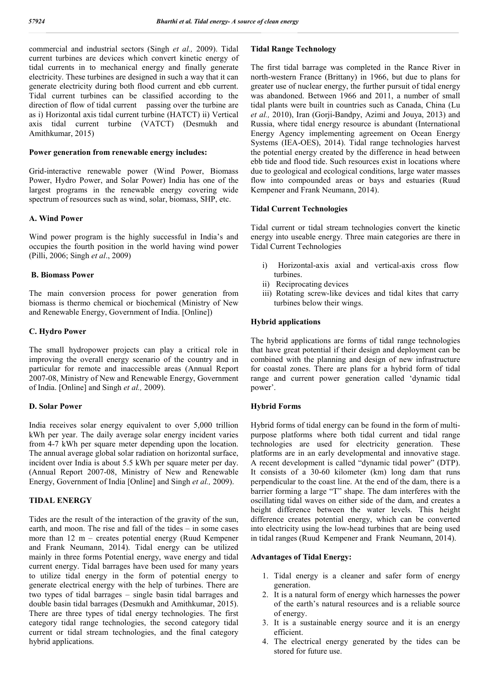commercial and industrial sectors (Singh *et al.,* 2009). Tidal current turbines are devices which convert kinetic energy of tidal currents in to mechanical energy and finally generate electricity. These turbines are designed in such a way that it can generate electricity during both flood current and ebb current. Tidal current turbines can be classified according to the direction of flow of tidal current passing over the turbine are as i) Horizontal axis tidal current turbine (HATCT) ii) Vertical axis tidal current turbine (VATCT) (Desmukh and Amithkumar, 2015)

### **Power generation from renewable energy includes:**

Grid-interactive renewable power (Wind Power, Biomass Power, Hydro Power, and Solar Power) India has one of the largest programs in the renewable energy covering wide spectrum of resources such as wind, solar, biomass, SHP, etc.

### **A. Wind Power**

Wind power program is the highly successful in India's and occupies the fourth position in the world having wind power (Pilli, 2006; Singh *et al*., 2009)

### **B. Biomass Power**

The main conversion process for power generation from biomass is thermo chemical or biochemical (Ministry of New and Renewable Energy, Government of India. [Online])

## **C. Hydro Power**

The small hydropower projects can play a critical role in improving the overall energy scenario of the country and in particular for remote and inaccessible areas (Annual Report 2007-08, Ministry of New and Renewable Energy, Government of India. [Online] and Singh *et al.,* 2009).

# **D. Solar Power**

India receives solar energy equivalent to over 5,000 trillion kWh per year. The daily average solar energy incident varies from 4-7 kWh per square meter depending upon the location. The annual average global solar radiation on horizontal surface, incident over India is about 5.5 kWh per square meter per day. (Annual Report 2007-08, Ministry of New and Renewable Energy, Government of India [Online] and Singh *et al.,* 2009).

#### **TIDAL ENERGY**

Tides are the result of the interaction of the gravity of the sun, earth, and moon. The rise and fall of the tides – in some cases more than 12 m – creates potential energy (Ruud Kempener and Frank Neumann, 2014). Tidal energy can be utilized mainly in three forms Potential energy, wave energy and tidal current energy. Tidal barrages have been used for many years to utilize tidal energy in the form of potential energy to generate electrical energy with the help of turbines. There are two types of tidal barrages – single basin tidal barrages and double basin tidal barrages (Desmukh and Amithkumar, 2015). There are three types of tidal energy technologies. The first category tidal range technologies, the second category tidal current or tidal stream technologies, and the final category hybrid applications.

# **Tidal Range Technology**

The first tidal barrage was completed in the Rance River in north-western France (Brittany) in 1966, but due to plans for greater use of nuclear energy, the further pursuit of tidal energy was abandoned. Between 1966 and 2011, a number of small tidal plants were built in countries such as Canada, China (Lu et al., 2010), Iran (Gorii-Bandpy, Azimi and Jouya, 2013) and Russia, where tidal energy resource is abundant (International Energy Agency implementing agreement on Ocean Energy Systems (IEA-OES), 2014). Tidal range technologies harvest the potential energy created by the difference in head between ebb tide and flood tide. Such resources exist in locations where due to geological and ecological conditions, large water masses flow into compounded areas or bays and estuaries (Ruud Kempener and Frank Neumann, 2014).

## **Tidal Current Technologies**

Tidal current or tidal stream technologies convert the kinetic energy into useable energy. Three main categories are there in Tidal Current Technologies

- i) Horizontal-axis axial and vertical-axis cross flow turbines.
- ii) Reciprocating devices
- iii) Rotating screw-like devices and tidal kites that carry turbines below their wings.

## **Hybrid applications**

The hybrid applications are forms of tidal range technologies that have great potential if their design and deployment can be combined with the planning and design of new infrastructure for coastal zones. There are plans for a hybrid form of tidal range and current power generation called 'dynamic tidal power'.

## **Hybrid Forms**

Hybrid forms of tidal energy can be found in the form of multipurpose platforms where both tidal current and tidal range technologies are used for electricity generation. These platforms are in an early developmental and innovative stage. A recent development is called "dynamic tidal power" (DTP). It consists of a 30-60 kilometer (km) long dam that runs perpendicular to the coast line. At the end of the dam, there is a barrier forming a large "T" shape. The dam interferes with the oscillating tidal waves on either side of the dam, and creates a height difference between the water levels. This height difference creates potential energy, which can be converted into electricity using the low-head turbines that are being used in tidal ranges (Ruud Kempener and Frank Neumann, 2014).

#### **Advantages of Tidal Energy:**

- 1. Tidal energy is a cleaner and safer form of energy generation.
- 2. It is a natural form of energy which harnesses the power of the earth's natural resources and is a reliable source of energy.
- 3. It is a sustainable energy source and it is an energy efficient.
- 4. The electrical energy generated by the tides can be stored for future use.